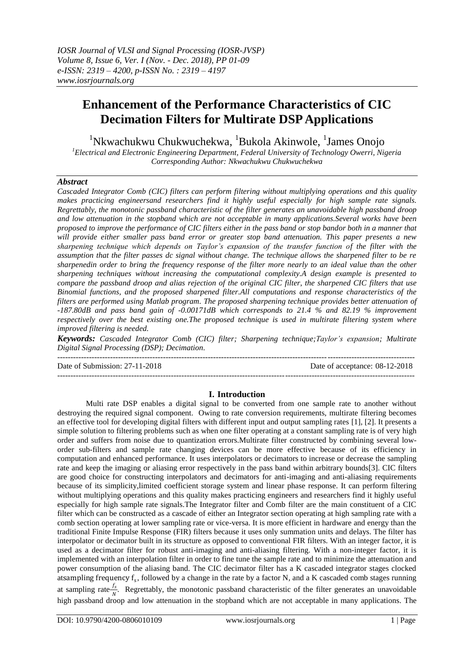# **Enhancement of the Performance Characteristics of CIC Decimation Filters for Multirate DSP Applications**

<sup>1</sup>Nkwachukwu Chukwuchekwa, <sup>1</sup>Bukola Akinwole, <sup>1</sup>James Onojo

*<sup>1</sup>Electrical and Electronic Engineering Department, Federal University of Technology Owerri, Nigeria Corresponding Author: Nkwachukwu Chukwuchekwa*

# *Abstract*

*Cascaded Integrator Comb (CIC) filters can perform filtering without multiplying operations and this quality makes practicing engineersand researchers find it highly useful especially for high sample rate signals. Regrettably, the monotonic passband characteristic of the filter generates an unavoidable high passband droop and low attenuation in the stopband which are not acceptable in many applications.Several works have been proposed to improve the performance of CIC filters either in the pass band or stop bandor both in a manner that will provide either smaller pass band error or greater stop band attenuation. This paper presents a new sharpening technique which depends on Taylor's expansion of the transfer function of the filter with the assumption that the filter passes dc signal without change. The technique allows the sharpened filter to be re sharpenedin order to bring the frequency response of the filter more nearly to an ideal value than the other sharpening techniques without increasing the computational complexity.A design example is presented to compare the passband droop and alias rejection of the original CIC filter, the sharpened CIC filters that use Binomial functions, and the proposed sharpened filter.All computations and response characteristics of the filters are performed using Matlab program. The proposed sharpening technique provides better attenuation of -187.80dB and pass band gain of -0.00171dB which corresponds to 21.4 % and 82.19 % improvement respectively over the best existing one.The proposed technique is used in multirate filtering system where improved filtering is needed.*

*Keywords: Cascaded Integrator Comb (CIC) filter; Sharpening technique;Taylor's expansion; Multirate Digital Signal Processing (DSP); Decimation.*

Date of Submission: 27-11-2018 Date of acceptance: 08-12-2018

---------------------------------------------------------------------------------------------------------------------------------------

# **I. Introduction**

---------------------------------------------------------------------------------------------------------------------------------------

Multi rate DSP enables a digital signal to be converted from one sample rate to another without destroying the required signal component. Owing to rate conversion requirements, multirate filtering becomes an effective tool for developing digital filters with different input and output sampling rates [1], [2]. It presents a simple solution to filtering problems such as when one filter operating at a constant sampling rate is of very high order and suffers from noise due to quantization errors.Multirate filter constructed by combining several loworder sub-filters and sample rate changing devices can be more effective because of its efficiency in computation and enhanced performance. It uses interpolators or decimators to increase or decrease the sampling rate and keep the imaging or aliasing error respectively in the pass band within arbitrary bounds[3]. CIC filters are good choice for constructing interpolators and decimators for anti-imaging and anti-aliasing requirements because of its simplicity,limited coefficient storage system and linear phase response. It can perform filtering without multiplying operations and this quality makes practicing engineers and researchers find it highly useful especially for high sample rate signals.The Integrator filter and Comb filter are the main constituent of a CIC filter which can be constructed as a cascade of either an Integrator section operating at high sampling rate with a comb section operating at lower sampling rate or vice-versa. It is more efficient in hardware and energy than the traditional Finite Impulse Response (FIR) filters because it uses only summation units and delays. The filter has interpolator or decimator built in its structure as opposed to conventional FIR filters. With an integer factor, it is used as a decimator filter for robust anti-imaging and anti-aliasing filtering. With a non-integer factor, it is implemented with an interpolation filter in order to fine tune the sample rate and to minimize the attenuation and power consumption of the aliasing band. The CIC decimator filter has a K cascaded integrator stages clocked atsampling frequency f<sub>s</sub>, followed by a change in the rate by a factor N, and a K cascaded comb stages running at sampling rate $\frac{f_s}{v_s}$  $\frac{f_S}{N}$ . Regrettably, the monotonic passband characteristic of the filter generates an unavoidable high passband droop and low attenuation in the stopband which are not acceptable in many applications. The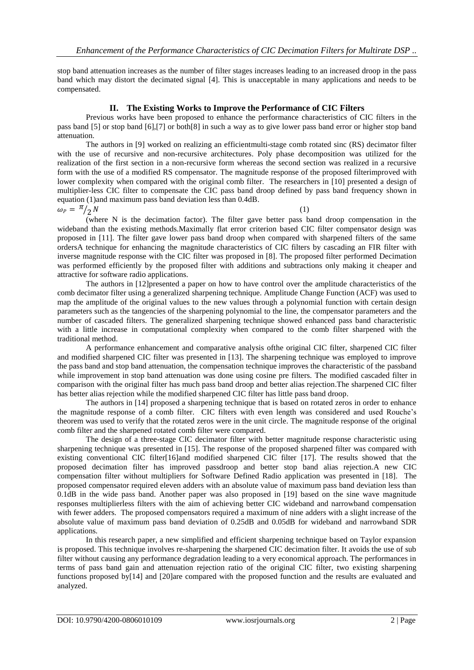stop band attenuation increases as the number of filter stages increases leading to an increased droop in the pass band which may distort the decimated signal [4]. This is unacceptable in many applications and needs to be compensated.

# **II. The Existing Works to Improve the Performance of CIC Filters**

Previous works have been proposed to enhance the performance characteristics of CIC filters in the pass band [5] or stop band [6],[7] or both[8] in such a way as to give lower pass band error or higher stop band attenuation.

The authors in [9] worked on realizing an efficientmulti-stage comb rotated sinc (RS) decimator filter with the use of recursive and non-recursive architectures. Poly phase decomposition was utilized for the realization of the first section in a non-recursive form whereas the second section was realized in a recursive form with the use of a modified RS compensator. The magnitude response of the proposed filterimproved with lower complexity when compared with the original comb filter. The researchers in [10] presented a design of multiplier-less CIC filter to compensate the CIC pass band droop defined by pass band frequency shown in equation (1)and maximum pass band deviation less than 0.4dB.

 $\omega_P = \frac{\pi}{2}$  $\sqrt{2}N$  (1)

(where N is the decimation factor). The filter gave better pass band droop compensation in the wideband than the existing methods.Maximally flat error criterion based CIC filter compensator design was proposed in [11]. The filter gave lower pass band droop when compared with sharpened filters of the same ordersA technique for enhancing the magnitude characteristics of CIC filters by cascading an FIR filter with inverse magnitude response with the CIC filter was proposed in [8]. The proposed filter performed Decimation was performed efficiently by the proposed filter with additions and subtractions only making it cheaper and attractive for software radio applications.

The authors in [12]presented a paper on how to have control over the amplitude characteristics of the comb decimator filter using a generalized sharpening technique. Amplitude Change Function (ACF) was used to map the amplitude of the original values to the new values through a polynomial function with certain design parameters such as the tangencies of the sharpening polynomial to the line, the compensator parameters and the number of cascaded filters. The generalized sharpening technique showed enhanced pass band characteristic with a little increase in computational complexity when compared to the comb filter sharpened with the traditional method.

A performance enhancement and comparative analysis ofthe original CIC filter, sharpened CIC filter and modified sharpened CIC filter was presented in [13]. The sharpening technique was employed to improve the pass band and stop band attenuation, the compensation technique improves the characteristic of the passband while improvement in stop band attenuation was done using cosine pre filters. The modified cascaded filter in comparison with the original filter has much pass band droop and better alias rejection.The sharpened CIC filter has better alias rejection while the modified sharpened CIC filter has little pass band droop.

The authors in [14] proposed a sharpening technique that is based on rotated zeros in order to enhance the magnitude response of a comb filter. CIC filters with even length was considered and used Rouche's theorem was used to verify that the rotated zeros were in the unit circle. The magnitude response of the original comb filter and the sharpened rotated comb filter were compared.

The design of a three-stage CIC decimator filter with better magnitude response characteristic using sharpening technique was presented in [15]. The response of the proposed sharpened filter was compared with existing conventional CIC filter[16]and modified sharpened CIC filter [17]. The results showed that the proposed decimation filter has improved passdroop and better stop band alias rejection.A new CIC compensation filter without multipliers for Software Defined Radio application was presented in [18]. The proposed compensator required eleven adders with an absolute value of maximum pass band deviation less than 0.1dB in the wide pass band. Another paper was also proposed in [19] based on the sine wave magnitude responses multiplierless filters with the aim of achieving better CIC wideband and narrowband compensation with fewer adders. The proposed compensators required a maximum of nine adders with a slight increase of the absolute value of maximum pass band deviation of 0.25dB and 0.05dB for wideband and narrowband SDR applications.

In this research paper, a new simplified and efficient sharpening technique based on Taylor expansion is proposed. This technique involves re-sharpening the sharpened CIC decimation filter. It avoids the use of sub filter without causing any performance degradation leading to a very economical approach. The performances in terms of pass band gain and attenuation rejection ratio of the original CIC filter, two existing sharpening functions proposed by[14] and [20]are compared with the proposed function and the results are evaluated and analyzed.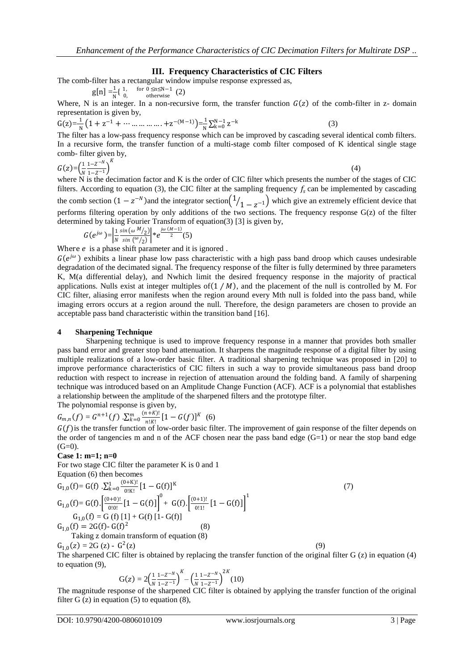# **III. Frequency Characteristics of CIC Filters**

The comb-filter has a rectangular window impulse response expressed as,

$$
]=\frac{1}{N}\begin{cases} 1, & \text{for } 0 \leq n \leq N-1 \\ 0, & \text{otherwise} \end{cases} (2)
$$

 $g[n]$ 

Where, N is an integer. In a non-recursive form, the transfer function  $G(z)$  of the comb-filter in z- domain representation is given by,

$$
G(z) = \frac{1}{N} \left( 1 + z^{-1} + \dots + \dots + z^{-(M-1)} \right) = \frac{1}{N} \sum_{k=0}^{N-1} z^{-k}
$$

(3)

The filter has a low-pass frequency response which can be improved by cascading several identical comb filters. In a recursive form, the transfer function of a multi-stage comb filter composed of K identical single stage comb- filter given by,

$$
G(z) = \left(\frac{1}{N} \frac{1 - z^{-N}}{1 - z^{-1}}\right)^K
$$
\n(4)

where N is the decimation factor and K is the order of CIC filter which presents the number of the stages of CIC filters. According to equation (3), the CIC filter at the sampling frequency  $f_s$  can be implemented by cascading the comb section  $(1 - z^{-N})$  and the integrator section  $\left( \frac{1}{z} \right)$  $\sqrt{1-z^{-1}}$  which give an extremely efficient device that performs filtering operation by only additions of the two sections. The frequency response  $G(z)$  of the filter determined by taking Fourier Transform of equation(3) [3] is given by,

$$
G(e^{j\omega}) = \left|\frac{1}{N}\frac{\sin(\omega M_2)}{\sin(\omega_2)}\right| * e^{\frac{j\omega(M-1)}{2}}(5)
$$

Where *e* is a phase shift parameter and it is ignored.

 $G(e^{j\omega})$  exhibits a linear phase low pass characteristic with a high pass band droop which causes undesirable degradation of the decimated signal. The frequency response of the filter is fully determined by three parameters K, M(a differential delay), and Nwhich limit the desired frequency response in the majority of practical applications. Nulls exist at integer multiples of  $(1 / M)$ , and the placement of the null is controlled by M. For CIC filter, aliasing error manifests when the region around every Mth null is folded into the pass band, while imaging errors occurs at a region around the null. Therefore, the design parameters are chosen to provide an acceptable pass band characteristic within the transition band [16].

#### **4 Sharpening Technique**

Sharpening technique is used to improve frequency response in a manner that provides both smaller pass band error and greater stop band attenuation. It sharpens the magnitude response of a digital filter by using multiple realizations of a low-order basic filter. A traditional sharpening technique was proposed in [20] to improve performance characteristics of CIC filters in such a way to provide simultaneous pass band droop reduction with respect to increase in rejection of attenuation around the folding band. A family of sharpening technique was introduced based on an Amplitude Change Function (ACF). ACF is a polynomial that establishes a relationship between the amplitude of the sharpened filters and the prototype filter. The polynomial response is given by,

 $G_{m,n}(f) = G^{n+1}(f) \cdot \sum_{k=0}^{m} \frac{(n+k)!}{n!k!}$  $n!K!$  $\binom{m}{k=0} \frac{(n+K)!}{n!K!} [1 - G(f)]^K$  (6)

 $G(f)$  is the transfer function of low-order basic filter. The improvement of gain response of the filter depends on the order of tangencies m and n of the ACF chosen near the pass band edge  $(G=1)$  or near the stop band edge  $(G=0)$ .

#### **Case 1: m=1; n=0**

For two stage CIC filter the parameter K is 0 and 1 Equation (6) then becomes

$$
G_{1,0}(f) = G(f) \cdot \sum_{k=0}^{1} \frac{(0+k)!}{0!k!} [1 - G(f)]^{k}
$$
\n
$$
G_{1,0}(f) = G(f) \cdot \left[ \frac{(0+0)!}{0!0!} [1 - G(f)] \right]^{0} + G(f) \cdot \left[ \frac{(0+1)!}{0!1!} [1 - G(f)] \right]^{1}
$$
\n
$$
G_{1,0}(f) = G(f) [1] + G(f) [1 - G(f)]
$$
\n
$$
G_{1,0}(f) = 2G(f) - G(f)^{2}
$$
\n(8)\nTaking z domain transform of equation (8)

 $G_{1,0}(z) = 2G(z) - G<sup>2</sup>$  $(z)$  (9)

The sharpened CIC filter is obtained by replacing the transfer function of the original filter  $G(z)$  in equation (4) to equation (9),

$$
G(z) = 2\left(\frac{1}{N}\frac{1-z^{-N}}{1-z^{-1}}\right)^{K} - \left(\frac{1}{N}\frac{1-z^{-N}}{1-z^{-1}}\right)^{2K}(10)
$$
  
The magnitude response of the observed CIC filter is obts

The magnitude response of the sharpened CIC filter is obtained by applying the transfer function of the original filter G  $(z)$  in equation  $(5)$  to equation  $(8)$ ,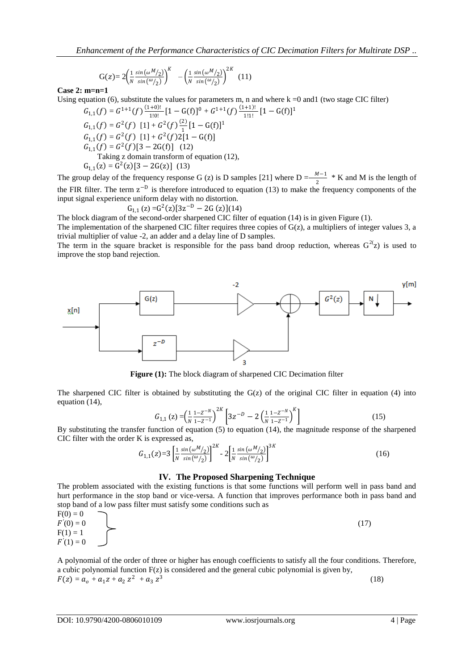$$
G(z) = 2 \left( \frac{1}{N} \frac{\sin(\omega M_2)}{\sin(\omega_2)} \right)^K - \left( \frac{1}{N} \frac{\sin(\omega M_2)}{\sin(\omega_2)} \right)^{2K} (11)
$$

**Case 2: m=n=1** 

Using equation (6), substitute the values for parameters m, n and where k =0 and1 (two stage CIC filter)

 $G_{1,1}(f) = G^{1+1}(f) \frac{(1+0)!}{1!0!}$  $\frac{(-1)(1+1)(1-1)}{1!0!}$  [1 – G(f)]<sup>0</sup> + G<sup>1+1</sup>(f)  $\frac{(1+1)!}{1!1!}$  $\frac{(-+1)!}{1!1!}$   $[1 - G(f)]^1$  $G_{1,1}(f) = G^2(f)$  [1] +  $G^2(f) \frac{f^{(2)}}{1}$  $\frac{2}{1}[1-G(f)]^1$  $G_{1,1}(f) = G^2(f)$  [1] +  $G^2(f)2[1 - G(f)]$  $G_{1,1}(f) = G^2(f)[3 - 2G(f)]$  (12) Taking z domain transform of equation (12),  $G_{1,1}(z) = G^2(z)[3 - 2G(z)]$  (13)

The group delay of the frequency response G (z) is D samples [21] where  $D = \frac{M-1}{2} * K$  and M is the length of the FIR filter. The term  $z^{-D}$  is therefore introduced to equation (13) to make the frequency components of the input signal experience uniform delay with no distortion.

$$
G_{1,1}(z) = G^2(z)[3z^{-D} - 2G(z)](14)
$$

The block diagram of the second-order sharpened CIC filter of equation (14) is in given Figure (1). The implementation of the sharpened CIC filter requires three copies of  $G(z)$ , a multipliers of integer values 3, a

trivial multiplier of value -2, an adder and a delay line of D samples.

The term in the square bracket is responsible for the pass band droop reduction, whereas  $G^{2}(z)$  is used to improve the stop band rejection.



**Figure (1):** The block diagram of sharpened CIC Decimation filter

The sharpened CIC filter is obtained by substituting the  $G(z)$  of the original CIC filter in equation (4) into equation (14),

$$
G_{1,1}(z) = \left(\frac{1}{N}\frac{1-z^{-N}}{1-z^{-1}}\right)^{2K} \left[3z^{-D} - 2\left(\frac{1}{N}\frac{1-z^{-N}}{1-z^{-1}}\right)^{K}\right]
$$
(15)

By substituting the transfer function of equation (5) to equation (14), the magnitude response of the sharpened CIC filter with the order K is expressed as,

$$
G_{1,1}(z) = 3 \left[ \frac{1}{N} \frac{\sin(\omega M_2)}{\sin(\omega_2)} \right]^{2K} - 2 \left[ \frac{1}{N} \frac{\sin(\omega M_2)}{\sin(\omega_2)} \right]^{3K}
$$
(16)

### **IV. The Proposed Sharpening Technique**

The problem associated with the existing functions is that some functions will perform well in pass band and hurt performance in the stop band or vice-versa. A function that improves performance both in pass band and stop band of a low pass filter must satisfy some conditions such as

$$
F(0) = 0F'(0) = 0F(1) = 1F'(1) = 0
$$
 (17)

A polynomial of the order of three or higher has enough coefficients to satisfy all the four conditions. Therefore, a cubic polynomial function F(z) is considered and the general cubic polynomial is given by,  $F(z) = a_o + a_1 z + a_2 z^2 + a_3 z^3$ (18)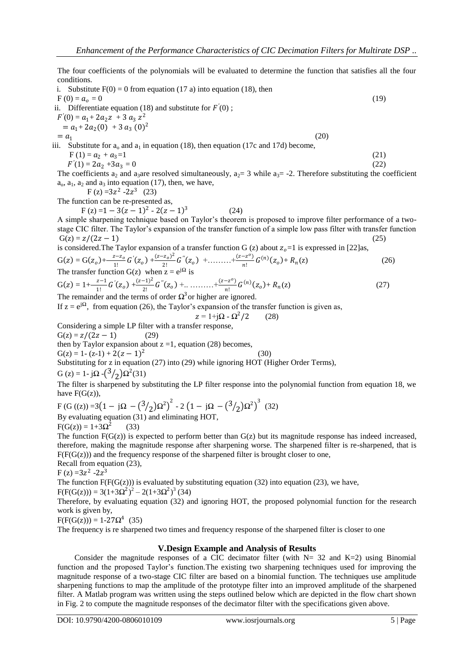The four coefficients of the polynomials will be evaluated to determine the function that satisfies all the four conditions.

i. Substitute  $F(0) = 0$  from equation (17 a) into equation (18), then  $F(0) = a_0 = 0$  (19) ii. Differentiate equation (18) and substitute for  $F'(0)$ ;  $F'(0) = a_1 + 2a_2z + 3a_3z^2$  $= a_1+2a_2(0) + 3 a_3(0)^2$  $= a_1$ (20) iii. Substitute for  $a_0$  and  $a_1$  in equation (18), then equation (17c and 17d) become,  $F(1) = a_2 + a_3 = 1$  (21)<br>  $F'(1) = 2a_2 + 3a_3 = 0$  (22)  $F'(1) = 2a_2 + 3a_3 = 0$  (22) The coefficients a<sub>2</sub> and a<sub>3</sub>are resolved simultaneously, a<sub>2</sub> = 3 while a<sub>3</sub> = -2. Therefore substituting the coefficient  $a_0$ ,  $a_1$ ,  $a_2$  and  $a_3$  into equation (17), then, we have,  $F(z) = 3z^2 - 2z^3$  (23) The function can be re-presented as,  $F(z) = 1 - 3(z - 1)^2 - 2(z - 1)^3$ (24) A simple sharpening technique based on Taylor's theorem is proposed to improve filter performance of a twostage CIC filter. The Taylor's expansion of the transfer function of a simple low pass filter with transfer function  $G(z) = z/(2z-1)$ 

is considered. The Taylor expansion of a transfer function G (z) about  $z_0 = 1$  is expressed in [22]as,

$$
G(z) = G(z_0) + \frac{z - z_0}{1!} G'(z_0) + \frac{(z - z_0)^2}{2!} G''(z_0) + \dots + \frac{(z - z^0)}{n!} G^{(n)}(z_0) + R_n(z)
$$
\nThe transfer function G(z) when  $z = e^{i\Omega}$  is\n
$$
(26)
$$

$$
G(z) = 1 + \frac{z-1}{1!} G'(z_0) + \frac{(z-1)^2}{2!} G''(z_0) + \dots + \frac{(z-z^0)}{n!} G^{(n)}(z_0) + R_n(z)
$$
 (27)

The remainder and the terms of order  $\Omega^3$  or higher are ignored.

If  $z = e^{i\Omega}$ , from equation (26), the Taylor's expansion of the transfer function is given as,

 $z = 1 + j\Omega - \Omega^2$  $(28)$ 

Considering a simple LP filter with a transfer response,

 $G(z) = z/(2z - 1)$  (29) then by Taylor expansion about  $z = 1$ , equation (28) becomes,  $G(z) = 1 - (z-1) + 2(z-1)^2$ (30) Substituting for z in equation (27) into (29) while ignoring HOT (Higher Order Terms),

G (z) = 1 - j $\Omega$  - $\left(\frac{3}{2}\right)\Omega^2(31)$ The filter is sharpened by substituting the LP filter response into the polynomial function from equation 18, we

have  $F(G(z))$ , F (G ((z)) =3(1 - jΩ - (3/<sub>2</sub>)Ω<sup>2</sup>)<sup>2</sup> - 2(1 - jΩ - (3/<sub>2</sub>)Ω<sup>2</sup>)<sup>3</sup> (32) By evaluating equation (31) and eliminating HOT,

F(G(z)) = 1+3Ω<sup>2</sup> (33)

The function  $F(G(z))$  is expected to perform better than  $G(z)$  but its magnitude response has indeed increased, therefore, making the magnitude response after sharpening worse. The sharpened filter is re-sharpened, that is  $F(F(G(z)))$  and the frequency response of the sharpened filter is brought closer to one,

Recall from equation (23),  $F(z) = 3z^2 - 2z^3$ 

The function  $F(F(G(z)))$  is evaluated by substituting equation (32) into equation (23), we have,

F(F(G(z))) = 3(1+3Ω<sup>2</sup>)<sup>2</sup> – 2(1+3Ω<sup>2</sup>)<sup>3</sup> (34)

Therefore, by evaluating equation (32) and ignoring HOT, the proposed polynomial function for the research work is given by,

 $F(F(G(z))) = 1-27\Omega^4$  (35)

The frequency is re sharpened two times and frequency response of the sharpened filter is closer to one

#### **V.Design Example and Analysis of Results**

Consider the magnitude responses of a CIC decimator filter (with  $N = 32$  and  $K=2$ ) using Binomial function and the proposed Taylor's function.The existing two sharpening techniques used for improving the magnitude response of a two-stage CIC filter are based on a binomial function. The techniques use amplitude sharpening functions to map the amplitude of the prototype filter into an improved amplitude of the sharpened filter. A Matlab program was written using the steps outlined below which are depicted in the flow chart shown in Fig. 2 to compute the magnitude responses of the decimator filter with the specifications given above.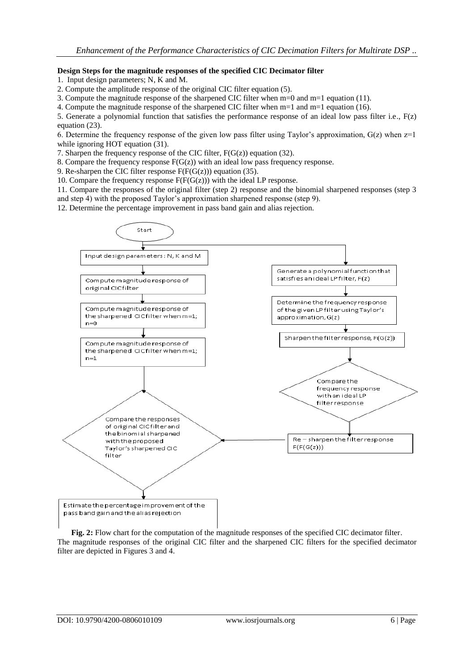# **Design Steps for the magnitude responses of the specified CIC Decimator filter**

1. Input design parameters; N, K and M.

2. Compute the amplitude response of the original CIC filter equation (5).

3. Compute the magnitude response of the sharpened CIC filter when m=0 and m=1 equation (11).

4. Compute the magnitude response of the sharpened CIC filter when m=1 and m=1 equation (16).

5. Generate a polynomial function that satisfies the performance response of an ideal low pass filter i.e., F(z) equation (23).

6. Determine the frequency response of the given low pass filter using Taylor's approximation,  $G(z)$  when  $z=1$ while ignoring HOT equation (31).

7. Sharpen the frequency response of the CIC filter,  $F(G(z))$  equation (32).

8. Compare the frequency response  $F(G(z))$  with an ideal low pass frequency response.

9. Re-sharpen the CIC filter response  $F(F(G(z)))$  equation (35).

10. Compare the frequency response  $F(F(G(z)))$  with the ideal LP response.

11. Compare the responses of the original filter (step 2) response and the binomial sharpened responses (step 3 and step 4) with the proposed Taylor's approximation sharpened response (step 9).

12. Determine the percentage improvement in pass band gain and alias rejection.



**Fig. 2:** Flow chart for the computation of the magnitude responses of the specified CIC decimator filter. The magnitude responses of the original CIC filter and the sharpened CIC filters for the specified decimator filter are depicted in Figures 3 and 4.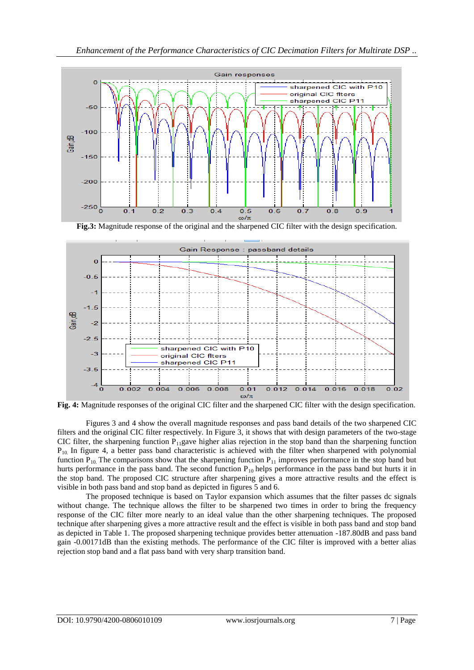

**Fig.3:** Magnitude response of the original and the sharpened CIC filter with the design specification.



**Fig. 4:** Magnitude responses of the original CIC filter and the sharpened CIC filter with the design specification.

Figures 3 and 4 show the overall magnitude responses and pass band details of the two sharpened CIC filters and the original CIC filter respectively. In Figure 3, it shows that with design parameters of the two-stage CIC filter, the sharpening function  $P_{11}$ gave higher alias rejection in the stop band than the sharpening function  $P_{10}$  In figure 4, a better pass band characteristic is achieved with the filter when sharpened with polynomial function  $P_{10}$ . The comparisons show that the sharpening function  $P_{11}$  improves performance in the stop band but hurts performance in the pass band. The second function  $P_{10}$  helps performance in the pass band but hurts it in the stop band. The proposed CIC structure after sharpening gives a more attractive results and the effect is visible in both pass band and stop band as depicted in figures 5 and 6.

The proposed technique is based on Taylor expansion which assumes that the filter passes dc signals without change. The technique allows the filter to be sharpened two times in order to bring the frequency response of the CIC filter more nearly to an ideal value than the other sharpening techniques. The proposed technique after sharpening gives a more attractive result and the effect is visible in both pass band and stop band as depicted in Table 1. The proposed sharpening technique provides better attenuation -187.80dB and pass band gain -0.00171dB than the existing methods. The performance of the CIC filter is improved with a better alias rejection stop band and a flat pass band with very sharp transition band.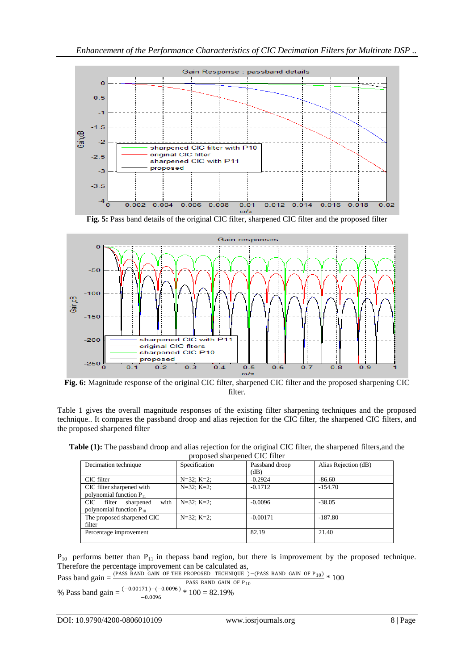

**Fig. 5:** Pass band details of the original CIC filter, sharpened CIC filter and the proposed filter



**Fig. 6:** Magnitude response of the original CIC filter, sharpened CIC filter and the proposed sharpening CIC filter.

Table 1 gives the overall magnitude responses of the existing filter sharpening techniques and the proposed technique.. It compares the passband droop and alias rejection for the CIC filter, the sharpened CIC filters, and the proposed sharpened filter

**Table (1):** The passband droop and alias rejection for the original CIC filter, the sharpened filters,and the proposed sharpened CIC filter

| Decimation technique                                                | Specification | Passband droop<br>(dB) | Alias Rejection (dB) |
|---------------------------------------------------------------------|---------------|------------------------|----------------------|
| CIC filter                                                          | $N=32; K=2;$  | $-0.2924$              | $-86.60$             |
| CIC filter sharpened with<br>polynomial function $P_{11}$           | $N=32; K=2;$  | $-0.1712$              | $-154.70$            |
| with<br>CIC-<br>filter<br>sharpened<br>polynomial function $P_{10}$ | $N=32; K=2;$  | $-0.0096$              | $-38.05$             |
| The proposed sharpened CIC<br>filter                                | $N=32; K=2;$  | $-0.00171$             | $-187.80$            |
| Percentage improvement                                              |               | 82.19                  | 21.40                |

 $P_{10}$  performs better than  $P_{11}$  in thepass band region, but there is improvement by the proposed technique. Therefore the percentage improvement can be calculated as,

Pass band gain =  $\frac{(PASS BAND GAIN OF THE PROPOSED TECHNIQUE)}{PACS BAND GAIN OF P_{10}} * 100$ PASS BAND GAIN OF P<sub>10</sub> % Pass band gain =  $\frac{(-0.00171) - (-0.0096)}{0.0006}$  \* 100 = 82.19% −0.0096

DOI: 
$$
10.9790/4200-0806010109
$$